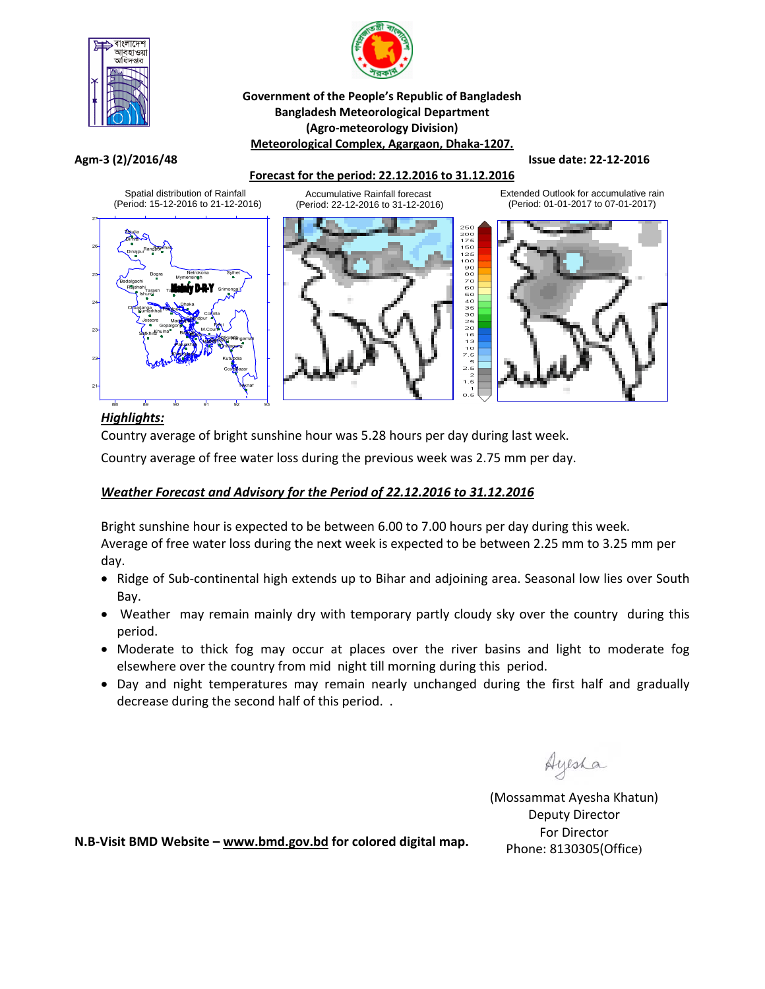



## **Government of the People's Republic of Bangladesh Bangladesh Meteorological Department (Agro‐meteorology Division) Meteorological Complex, Agargaon, Dhaka‐1207.**

### Agm-3 (2)/2016/48 State: 22-12-2016

# **Forecast for the period: 22.12.2016 to 31.12.2016**



Extended Outlook for accumulative rain (Period: 01-01-2017 to 07-01-2017)



# *Highlights:*

Country average of bright sunshine hour was 5.28 hours per day during last week.

Country average of free water loss during the previous week was 2.75 mm per day.

## *Weather Forecast and Advisory for the Period of 22.12.2016 to 31.12.2016*

Bright sunshine hour is expected to be between 6.00 to 7.00 hours per day during this week. Average of free water loss during the next week is expected to be between 2.25 mm to 3.25 mm per day.

- Ridge of Sub-continental high extends up to Bihar and adjoining area. Seasonal low lies over South Bay.
- Weather may remain mainly dry with temporary partly cloudy sky over the country during this period.
- Moderate to thick fog may occur at places over the river basins and light to moderate fog elsewhere over the country from mid night till morning during this period.
- Day and night temperatures may remain nearly unchanged during the first half and gradually decrease during the second half of this period. .

Ayesha

(Mossammat Ayesha Khatun) Deputy Director For Director Phone: 8130305(Office)

**N.B‐Visit BMD Website – www.bmd.gov.bd for colored digital map.**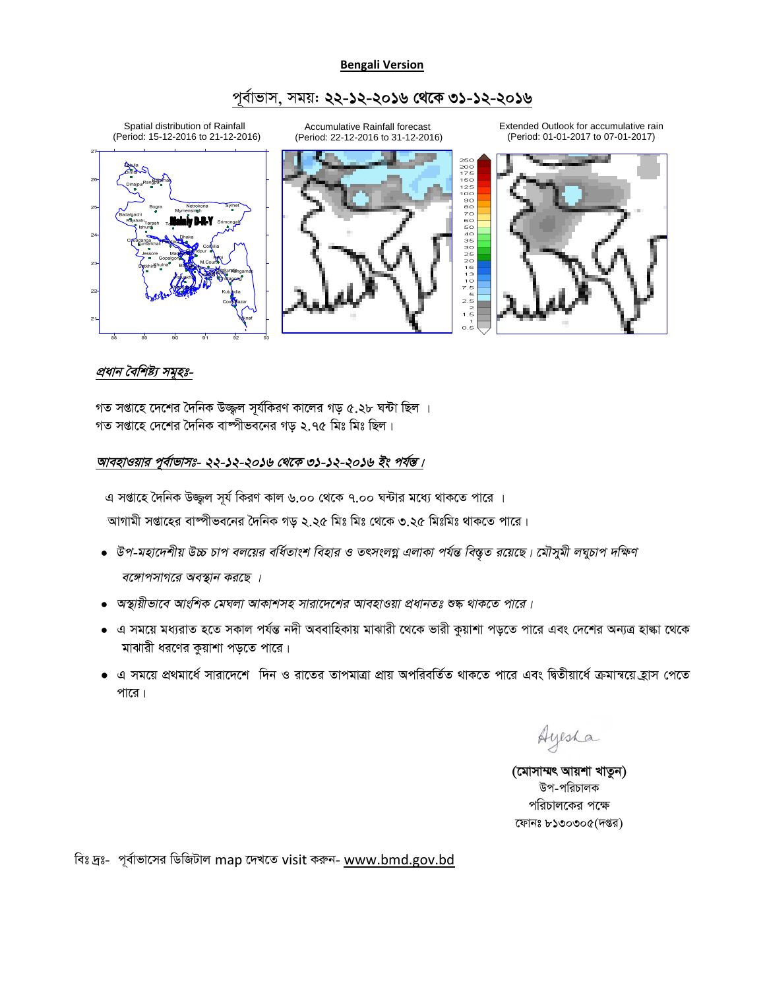#### **Bengali Version**

## পূৰ্বাভাস, সময়: **২২-১২-২০১৬ থেকে ৩১-১২-২০১৬**



# <u>প্ৰধান বৈশিষ্ট্য সমূহঃ-</u>

গত সপ্তাহে দেশের দৈনিক উজ্জ্বল সূর্যকিরণ কালের গড় ৫.২৮ ঘন্টা ছিল । গত সপ্তাহে দেশের দৈনিক বাষ্পীভবনের গড় ২.৭৫ মিঃ মিঃ ছিল।

#### আবহাওয়ার পূর্বাভাসঃ- ২২-১২-২০১৬ থেকে ৩১-১২-২০১৬ *ইং পর্য*ন্ত।

এ সপ্তাহে দৈনিক উজ্জুল সূর্য কিরণ কাল ৬.০০ থেকে ৭.০০ ঘন্টার মধ্যে থাকতে পারে । আগামী সপ্তাহের বাষ্পীভবনের দৈনিক গড় ২.২৫ মিঃ মিঃ থেকে ৩.২৫ মিঃমিঃ থাকতে পারে।

- $\bullet$  উপ-মহাদেশীয় উচ্চ চাপ বলয়ের বর্ধিতাংশ বিহার ও তৎসংলগ্ন এলাকা পর্যন্ত বিস্তৃত রয়েছে। মৌসুমী লঘুচাপ দক্ষিণ *বঙ্গোপসাগরে অবস্থান করছে ।*
- $\bullet$  অস্থায়ীভাবে আংশিক মেঘলা আকাশসহ সারাদেশের আবহাওয়া প্রধানতঃ শুষ্ক থাকতে পারে।
- এ সময়ে মধ্যরাত হতে সকাল পর্যন্ত নদী অববাহিকায় মাঝারী থেকে ভারী কুয়াশা পড়তে পারে এবং দেশের অন্যত্র হাল্কা থেকে মাঝারী ধরণের কুয়াশা পড়তে পারে।
- এ সময়ে প্রথমার্ধে সারাদেশে দিন ও রাতের তাপমাত্রা প্রায় অপরিবর্তিত থাকতে পারে এবং দ্বিতীয়ার্ধে ক্রমান্বয়ে হ্রাস পেতে পারে।

Ayesha

(মোসাম্মৎ আয়শা খাতুন) উপ-পরিচালক পরিচালকের পক্ষে ফোনঃ ৮১৩০৩০৫(দপ্তর)

বিঃ দ্রঃ- পূর্বাভাসের ডিজিটাল map দেখতে visit করুন- www.bmd.gov.bd